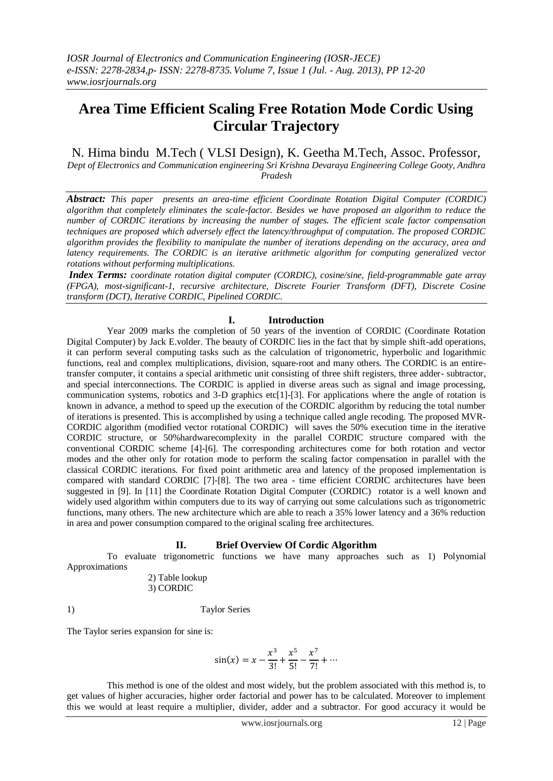# **Area Time Efficient Scaling Free Rotation Mode Cordic Using Circular Trajectory**

## N. Hima bindu M.Tech ( VLSI Design), K. Geetha M.Tech, Assoc. Professor,

*Dept of Electronics and Communication engineering Sri Krishna Devaraya Engineering College Gooty, Andhra Pradesh*

*Abstract: This paper presents an area-time efficient Coordinate Rotation Digital Computer (CORDIC) algorithm that completely eliminates the scale-factor. Besides we have proposed an algorithm to reduce the number of CORDIC iterations by increasing the number of stages. The efficient scale factor compensation techniques are proposed which adversely effect the latency/throughput of computation. The proposed CORDIC algorithm provides the flexibility to manipulate the number of iterations depending on the accuracy, area and latency requirements. The CORDIC is an iterative arithmetic algorithm for computing generalized vector rotations without performing multiplications.*

*Index Terms: coordinate rotation digital computer (CORDIC), cosine/sine, field-programmable gate array (FPGA), most-significant-1, recursive architecture, Discrete Fourier Transform (DFT), Discrete Cosine transform (DCT), Iterative CORDIC, Pipelined CORDIC*.

## **I. Introduction**

Year 2009 marks the completion of 50 years of the invention of CORDIC (Coordinate Rotation Digital Computer) by Jack E.volder. The beauty of CORDIC lies in the fact that by simple shift-add operations, it can perform several computing tasks such as the calculation of trigonometric, hyperbolic and logarithmic functions, real and complex multiplications, division, square-root and many others. The CORDIC is an entiretransfer computer, it contains a special arithmetic unit consisting of three shift registers, three adder- subtractor, and special interconnections. The CORDIC is applied in diverse areas such as signal and image processing, communication systems, robotics and 3-D graphics etc[1]-[3]. For applications where the angle of rotation is known in advance, a method to speed up the execution of the CORDIC algorithm by reducing the total number of iterations is presented. This is accomplished by using a technique called angle recoding. The proposed MVR-CORDIC algorithm (modified vector rotational CORDIC) will saves the 50% execution time in the iterative CORDIC structure, or 50%hardwarecomplexity in the parallel CORDIC structure compared with the conventional CORDIC scheme [4]-[6]. The corresponding architectures come for both rotation and vector modes and the other only for rotation mode to perform the scaling factor compensation in parallel with the classical CORDIC iterations. For fixed point arithmetic area and latency of the proposed implementation is compared with standard CORDIC [7]-[8]. The two area - time efficient CORDIC architectures have been suggested in [9]. In [11] the Coordinate Rotation Digital Computer (CORDIC) rotator is a well known and widely used algorithm within computers due to its way of carrying out some calculations such as trigonometric functions, many others. The new architecture which are able to reach a 35% lower latency and a 36% reduction in area and power consumption compared to the original scaling free architectures.

## **II. Brief Overview Of Cordic Algorithm**

To evaluate trigonometric functions we have many approaches such as 1) Polynomial Approximations

#### 2) Table lookup 3) CORDIC

## 1) Taylor Series

The Taylor series expansion for sine is:

$$
\sin(x) = x - \frac{x^3}{3!} + \frac{x^5}{5!} - \frac{x^7}{7!} + \cdots
$$

This method is one of the oldest and most widely, but the problem associated with this method is, to get values of higher accuracies, higher order factorial and power has to be calculated. Moreover to implement this we would at least require a multiplier, divider, adder and a subtractor. For good accuracy it would be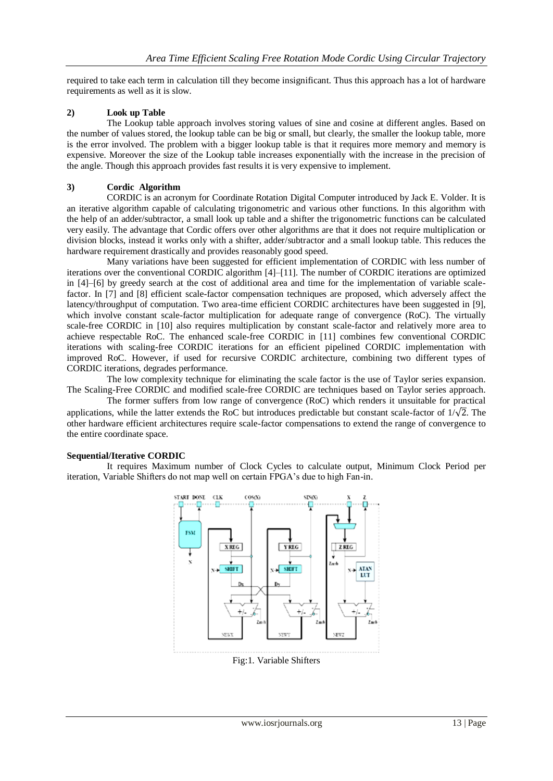required to take each term in calculation till they become insignificant. Thus this approach has a lot of hardware requirements as well as it is slow.

#### **2) Look up Table**

The Lookup table approach involves storing values of sine and cosine at different angles. Based on the number of values stored, the lookup table can be big or small, but clearly, the smaller the lookup table, more is the error involved. The problem with a bigger lookup table is that it requires more memory and memory is expensive. Moreover the size of the Lookup table increases exponentially with the increase in the precision of the angle. Though this approach provides fast results it is very expensive to implement.

#### **3) Cordic Algorithm**

CORDIC is an acronym for Coordinate Rotation Digital Computer introduced by Jack E. Volder. It is an iterative algorithm capable of calculating trigonometric and various other functions. In this algorithm with the help of an adder/subtractor, a small look up table and a shifter the trigonometric functions can be calculated very easily. The advantage that Cordic offers over other algorithms are that it does not require multiplication or division blocks, instead it works only with a shifter, adder/subtractor and a small lookup table. This reduces the hardware requirement drastically and provides reasonably good speed.

Many variations have been suggested for efficient implementation of CORDIC with less number of iterations over the conventional CORDIC algorithm [4]–[11]. The number of CORDIC iterations are optimized in [4]–[6] by greedy search at the cost of additional area and time for the implementation of variable scalefactor. In [7] and [8] efficient scale-factor compensation techniques are proposed, which adversely affect the latency/throughput of computation. Two area-time efficient CORDIC architectures have been suggested in [9], which involve constant scale-factor multiplication for adequate range of convergence (RoC). The virtually scale-free CORDIC in [10] also requires multiplication by constant scale-factor and relatively more area to achieve respectable RoC. The enhanced scale-free CORDIC in [11] combines few conventional CORDIC iterations with scaling-free CORDIC iterations for an efficient pipelined CORDIC implementation with improved RoC. However, if used for recursive CORDIC architecture, combining two different types of CORDIC iterations, degrades performance.

The low complexity technique for eliminating the scale factor is the use of Taylor series expansion. The Scaling-Free CORDIC and modified scale-free CORDIC are techniques based on Taylor series approach.

The former suffers from low range of convergence (RoC) which renders it unsuitable for practical applications, while the latter extends the RoC but introduces predictable but constant scale-factor of  $1/\sqrt{2}$ . The other hardware efficient architectures require scale-factor compensations to extend the range of convergence to the entire coordinate space.

#### **Sequential/Iterative CORDIC**

It requires Maximum number of Clock Cycles to calculate output, Minimum Clock Period per iteration, Variable Shifters do not map well on certain FPGA's due to high Fan-in.



Fig:1. Variable Shifters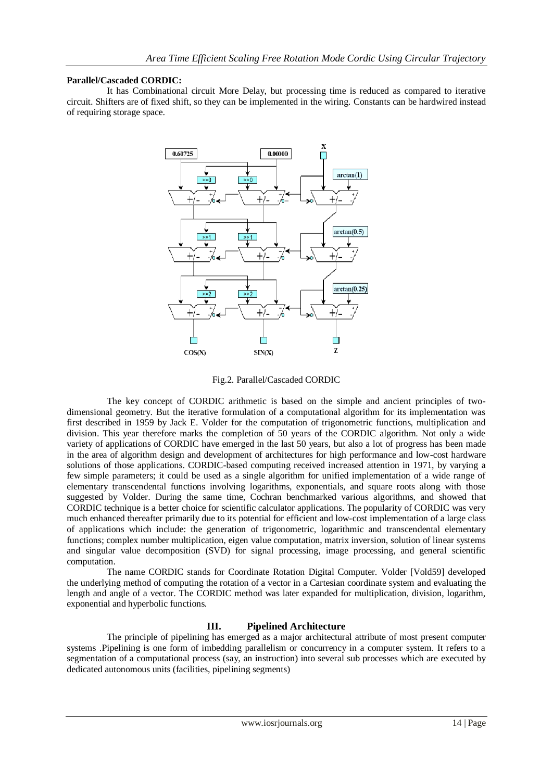#### **Parallel/Cascaded CORDIC:**

It has Combinational circuit More Delay, but processing time is reduced as compared to iterative circuit. Shifters are of fixed shift, so they can be implemented in the wiring. Constants can be hardwired instead of requiring storage space.



Fig.2. Parallel/Cascaded CORDIC

The key concept of CORDIC arithmetic is based on the simple and ancient principles of twodimensional geometry. But the iterative formulation of a computational algorithm for its implementation was first described in 1959 by Jack E. Volder for the computation of trigonometric functions, multiplication and division. This year therefore marks the completion of 50 years of the CORDIC algorithm. Not only a wide variety of applications of CORDIC have emerged in the last 50 years, but also a lot of progress has been made in the area of algorithm design and development of architectures for high performance and low-cost hardware solutions of those applications. CORDIC-based computing received increased attention in 1971, by varying a few simple parameters; it could be used as a single algorithm for unified implementation of a wide range of elementary transcendental functions involving logarithms, exponentials, and square roots along with those suggested by Volder. During the same time, Cochran benchmarked various algorithms, and showed that CORDIC technique is a better choice for scientific calculator applications. The popularity of CORDIC was very much enhanced thereafter primarily due to its potential for efficient and low-cost implementation of a large class of applications which include: the generation of trigonometric, logarithmic and transcendental elementary functions; complex number multiplication, eigen value computation, matrix inversion, solution of linear systems and singular value decomposition (SVD) for signal processing, image processing, and general scientific computation.

The name CORDIC stands for Coordinate Rotation Digital Computer. Volder [Vold59] developed the underlying method of computing the rotation of a vector in a Cartesian coordinate system and evaluating the length and angle of a vector. The CORDIC method was later expanded for multiplication, division, logarithm, exponential and hyperbolic functions.

## **III. Pipelined Architecture**

The principle of pipelining has emerged as a major architectural attribute of most present computer systems .Pipelining is one form of imbedding parallelism or concurrency in a computer system. It refers to a segmentation of a computational process (say, an instruction) into several sub processes which are executed by dedicated autonomous units (facilities, pipelining segments)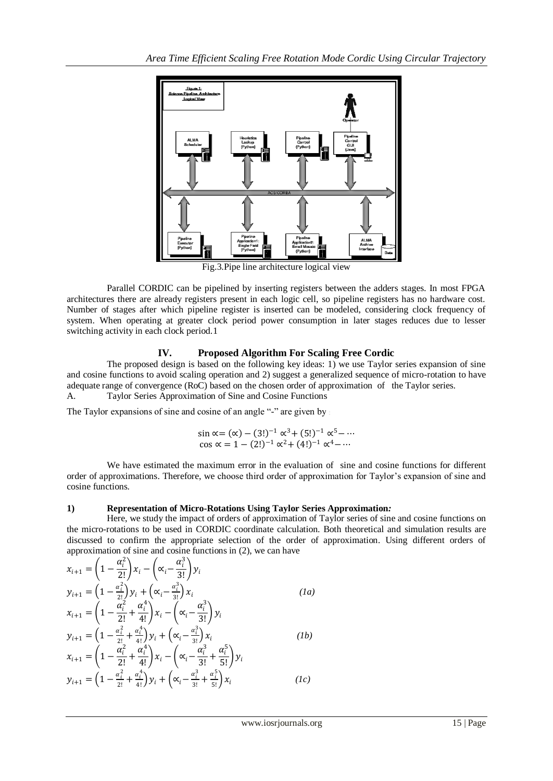

Fig.3.Pipe line architecture logical view

 Parallel CORDIC can be pipelined by inserting registers between the adders stages. In most FPGA architectures there are already registers present in each logic cell, so pipeline registers has no hardware cost. Number of stages after which pipeline register is inserted can be modeled, considering clock frequency of system. When operating at greater clock period power consumption in later stages reduces due to lesser switching activity in each clock period.1

## **IV. Proposed Algorithm For Scaling Free Cordic**

The proposed design is based on the following key ideas: 1) we use Taylor series expansion of sine and cosine functions to avoid scaling operation and 2) suggest a generalized sequence of micro-rotation to have adequate range of convergence (RoC) based on the chosen order of approximation of the Taylor series. A. Taylor Series Approximation of Sine and Cosine Functions

The Taylor expansions of sine and cosine of an angle "-" are given by

$$
\sin \alpha = (\alpha) - (3!)^{-1} \alpha^3 + (5!)^{-1} \alpha^5 - \cdots
$$
  
\n
$$
\cos \alpha = 1 - (2!)^{-1} \alpha^2 + (4!)^{-1} \alpha^4 - \cdots
$$

We have estimated the maximum error in the evaluation of sine and cosine functions for different order of approximations. Therefore, we choose third order of approximation for Taylor's expansion of sine and cosine functions.

## **1) Representation of Micro-Rotations Using Taylor Series Approximation***:*

Here, we study the impact of orders of approximation of Taylor series of sine and cosine functions on the micro-rotations to be used in CORDIC coordinate calculation. Both theoretical and simulation results are discussed to confirm the appropriate selection of the order of approximation. Using different orders of approximation of sine and cosine functions in (2), we can have

$$
x_{i+1} = \left(1 - \frac{\alpha_i^2}{2!}\right) x_i - \left(\alpha_i - \frac{\alpha_i^3}{3!}\right) y_i
$$
  
\n
$$
y_{i+1} = \left(1 - \frac{\alpha_i^2}{2!}\right) y_i + \left(\alpha_i - \frac{\alpha_i^3}{3!}\right) x_i
$$
  
\n
$$
x_{i+1} = \left(1 - \frac{\alpha_i^2}{2!} + \frac{\alpha_i^4}{4!}\right) x_i - \left(\alpha_i - \frac{\alpha_i^3}{3!}\right) y_i
$$
  
\n
$$
y_{i+1} = \left(1 - \frac{\alpha_i^2}{2!} + \frac{\alpha_i^4}{4!}\right) y_i + \left(\alpha_i - \frac{\alpha_i^3}{3!}\right) x_i
$$
  
\n
$$
x_{i+1} = \left(1 - \frac{\alpha_i^2}{2!} + \frac{\alpha_i^4}{4!}\right) x_i - \left(\alpha_i - \frac{\alpha_i^3}{3!} + \frac{\alpha_i^5}{5!}\right) y_i
$$
  
\n
$$
y_{i+1} = \left(1 - \frac{\alpha_i^2}{2!} + \frac{\alpha_i^4}{4!}\right) y_i + \left(\alpha_i - \frac{\alpha_i^3}{3!} + \frac{\alpha_i^5}{5!}\right) x_i
$$
  
\n
$$
y_{i+1} = \left(1 - \frac{\alpha_i^2}{2!} + \frac{\alpha_i^4}{4!}\right) y_i + \left(\alpha_i - \frac{\alpha_i^3}{3!} + \frac{\alpha_i^5}{5!}\right) x_i
$$
  
\n
$$
(1c)
$$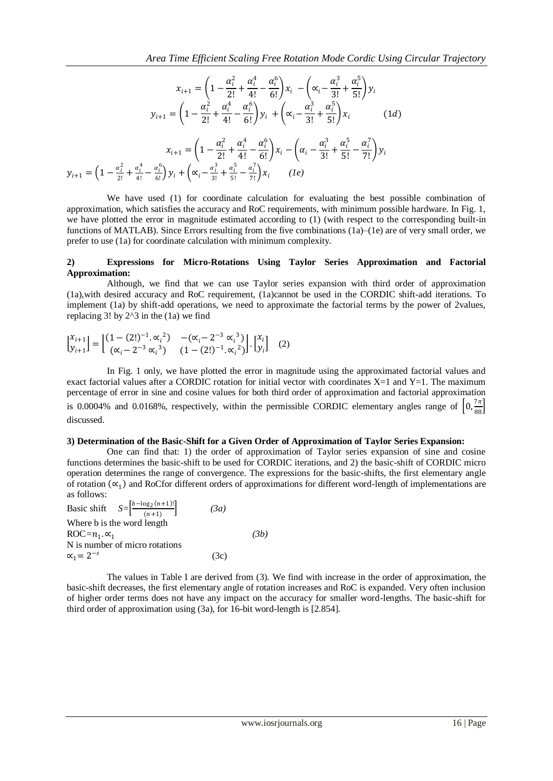$$
x_{i+1} = \left(1 - \frac{\alpha_i^2}{2!} + \frac{\alpha_i^4}{4!} - \frac{\alpha_i^6}{6!}\right)x_i - \left(\alpha_i - \frac{\alpha_i^3}{3!} + \frac{\alpha_i^5}{5!}\right)y_i
$$

$$
y_{i+1} = \left(1 - \frac{\alpha_i^2}{2!} + \frac{\alpha_i^4}{4!} - \frac{\alpha_i^6}{6!}\right)y_i + \left(\alpha_i - \frac{\alpha_i^3}{3!} + \frac{\alpha_i^5}{5!}\right)x_i
$$
(1*d*)
$$
x_{i+1} = \left(1 - \frac{\alpha_i^2}{2!} + \frac{\alpha_i^4}{4!} - \frac{\alpha_i^6}{6!}\right)x_i - \left(\alpha_i - \frac{\alpha_i^3}{3!} + \frac{\alpha_i^5}{5!} - \frac{\alpha_i^7}{7!}\right)y_i
$$

$$
y_{i+1} = \left(1 - \frac{\alpha_i^2}{2!} + \frac{\alpha_i^4}{4!} - \frac{\alpha_i^6}{6!}\right)y_i + \left(\alpha_i - \frac{\alpha_i^3}{3!} + \frac{\alpha_i^5}{5!} - \frac{\alpha_i^7}{7!}\right)x_i
$$
(1*e*)

We have used (1) for coordinate calculation for evaluating the best possible combination of approximation, which satisfies the accuracy and RoC requirements, with minimum possible hardware. In Fig. 1, we have plotted the error in magnitude estimated according to (1) (with respect to the corresponding built-in functions of MATLAB). Since Errors resulting from the five combinations (1a)–(1e) are of very small order, we prefer to use (1a) for coordinate calculation with minimum complexity.

#### **2) Expressions for Micro-Rotations Using Taylor Series Approximation and Factorial Approximation:**

Although, we find that we can use Taylor series expansion with third order of approximation (1a),with desired accuracy and RoC requirement, (1a)cannot be used in the CORDIC shift-add iterations. To implement (1a) by shift-add operations, we need to approximate the factorial terms by the power of 2values, replacing 3! by  $2^{\wedge}3$  in the (1a) we find

$$
\begin{bmatrix} x_{i+1} \\ y_{i+1} \end{bmatrix} = \begin{bmatrix} (1 - (2!)^{-1}.\alpha_i^2) & -(\alpha_i - 2^{-3} \alpha_i^3) \\ (\alpha_i - 2^{-3} \alpha_i^3) & (1 - (2!)^{-1}.\alpha_i^2) \end{bmatrix} \cdot \begin{bmatrix} x_i \\ y_i \end{bmatrix}
$$
 (2)

In Fig. 1 only, we have plotted the error in magnitude using the approximated factorial values and exact factorial values after a CORDIC rotation for initial vector with coordinates  $X=1$  and  $Y=1$ . The maximum percentage of error in sine and cosine values for both third order of approximation and factorial approximation is 0.0004% and 0.0168%, respectively, within the permissible CORDIC elementary angles range of  $\left[0, \frac{7\pi}{88}\right]$ discussed.

#### **3) Determination of the Basic-Shift for a Given Order of Approximation of Taylor Series Expansion:**

One can find that: 1) the order of approximation of Taylor series expansion of sine and cosine functions determines the basic-shift to be used for CORDIC iterations, and 2) the basic-shift of CORDIC micro operation determines the range of convergence. The expressions for the basic-shifts, the first elementary angle of rotation (∞<sub>1</sub>) and RoCfor different orders of approximations for different word-length of implementations are as follows:

| Basic shift $S = \left[\frac{b - \log_2(n+1)!}{(n+1)}\right]$ | (3a) |      |
|---------------------------------------------------------------|------|------|
| Where b is the word length                                    |      |      |
| $\text{ROC} = n_1 \cdot \alpha_1$                             |      | (3b) |
| N is number of micro rotations                                |      |      |
| $\alpha_1 = 2^{-s}$                                           | (3c) |      |

The values in Table I are derived from (3). We find with increase in the order of approximation, the basic-shift decreases, the first elementary angle of rotation increases and RoC is expanded. Very often inclusion of higher order terms does not have any impact on the accuracy for smaller word-lengths. The basic-shift for third order of approximation using (3a), for 16-bit word-length is [2.854].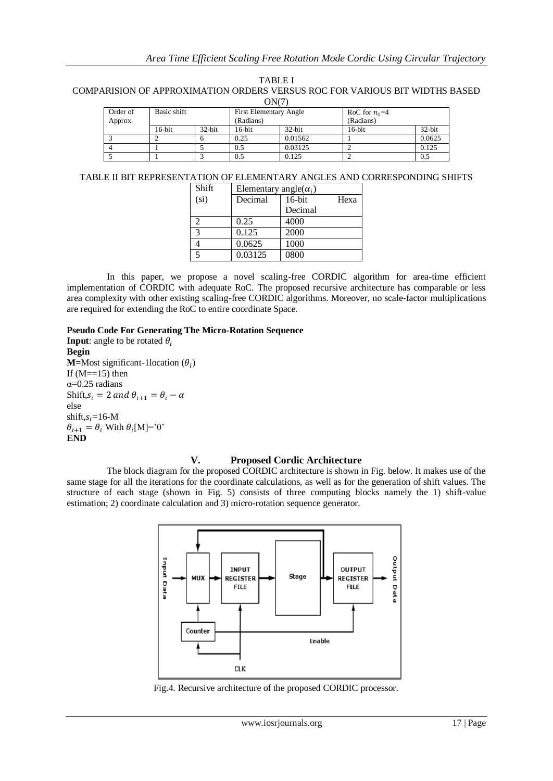TABLE I

COMPARISION OF APPROXIMATION ORDERS VERSUS ROC FOR VARIOUS BIT WIDTHS BASED  $\triangle M(7)$ 

| UNU L    |             |           |                               |         |                 |           |  |  |
|----------|-------------|-----------|-------------------------------|---------|-----------------|-----------|--|--|
| Order of | Basic shift |           | <b>First Elementary Angle</b> |         | RoC for $n_1=4$ |           |  |  |
| Approx.  |             |           | (Radians)                     |         | (Radians)       |           |  |  |
|          | $16$ -bit   | $32$ -bit | $16$ -bit                     | 32-bit  | $16$ -bit       | $32$ -bit |  |  |
|          |             |           | 0.25                          | 0.01562 |                 | 0.0625    |  |  |
|          |             |           | 0.5                           | 0.03125 |                 | 0.125     |  |  |
|          |             |           | 0.5                           | 0.125   |                 | 0.5       |  |  |

## TABLE II BIT REPRESENTATION OF ELEMENTARY ANGLES AND CORRESPONDING SHIFTS

| Shift             | Elementary angle( $\alpha_i$ ) |           |      |
|-------------------|--------------------------------|-----------|------|
| (s <sub>i</sub> ) | Decimal                        | $16$ -bit | Hexa |
|                   |                                | Decimal   |      |
| 2                 | 0.25                           | 4000      |      |
| 3                 | 0.125                          | 2000      |      |
|                   | 0.0625                         | 1000      |      |
| 5                 | 0.03125                        | 0800      |      |

In this paper, we propose a novel scaling-free CORDIC algorithm for area-time efficient implementation of CORDIC with adequate RoC. The proposed recursive architecture has comparable or less area complexity with other existing scaling-free CORDIC algorithms. Moreover, no scale-factor multiplications are required for extending the RoC to entire coordinate Space.

#### **Pseudo Code For Generating The Micro-Rotation Sequence**

**Input**: angle to be rotated  $\theta_i$ **Begin M**=Most significant-1location  $(\theta_i)$ If  $(M==15)$  then α=0.25 radians Shift,  $s_i = 2$  and  $\theta_{i+1} = \theta_i - \alpha$ else shift, $s_i$ =16-M  $\theta_{i+1} = \theta_i$  With  $\theta_i$ [M]='0' **END**

#### **V. Proposed Cordic Architecture**

The block diagram for the proposed CORDIC architecture is shown in Fig. below. It makes use of the same stage for all the iterations for the coordinate calculations, as well as for the generation of shift values. The structure of each stage (shown in Fig. 5) consists of three computing blocks namely the 1) shift-value estimation; 2) coordinate calculation and 3) micro-rotation sequence generator.



Fig.4. Recursive architecture of the proposed CORDIC processor.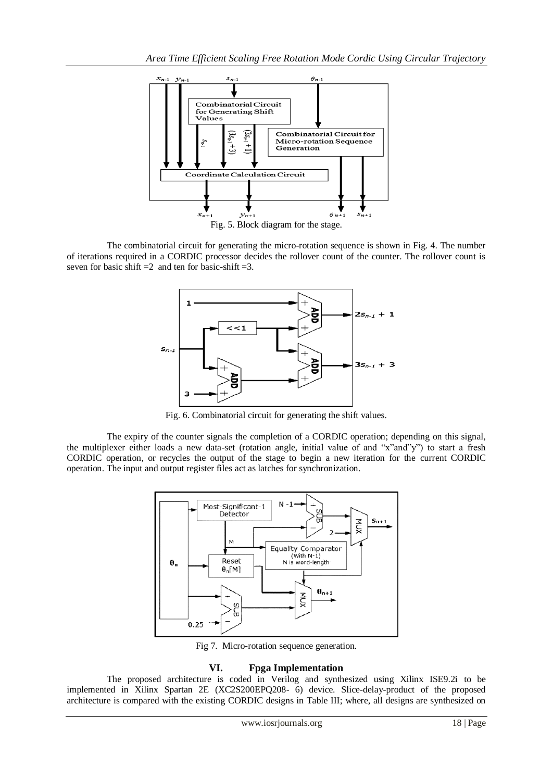

The combinatorial circuit for generating the micro-rotation sequence is shown in Fig. 4. The number of iterations required in a CORDIC processor decides the rollover count of the counter. The rollover count is seven for basic shift  $=2$  and ten for basic-shift  $=3$ .



Fig. 6. Combinatorial circuit for generating the shift values.

The expiry of the counter signals the completion of a CORDIC operation; depending on this signal, the multiplexer either loads a new data-set (rotation angle, initial value of and "x"and"y") to start a fresh CORDIC operation, or recycles the output of the stage to begin a new iteration for the current CORDIC operation. The input and output register files act as latches for synchronization.



Fig 7. Micro-rotation sequence generation.

## **VI. Fpga Implementation**

The proposed architecture is coded in Verilog and synthesized using Xilinx ISE9.2i to be implemented in Xilinx Spartan 2E (XC2S200EPQ208- 6) device. Slice-delay-product of the proposed architecture is compared with the existing CORDIC designs in Table III; where, all designs are synthesized on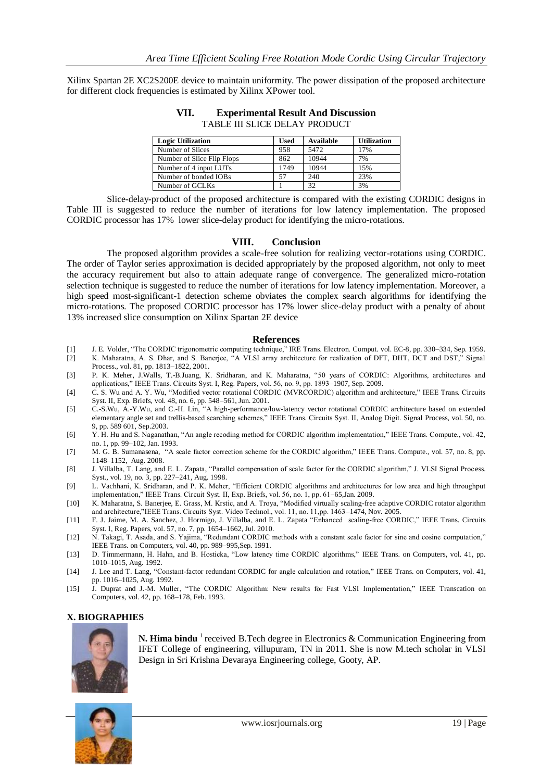Xilinx Spartan 2E XC2S200E device to maintain uniformity. The power dissipation of the proposed architecture for different clock frequencies is estimated by Xilinx XPower tool.

| <b>Logic Utilization</b>   | Used | Available | <b>Utilization</b> |
|----------------------------|------|-----------|--------------------|
| Number of Slices           | 958  | 5472      | 17%                |
| Number of Slice Flip Flops | 862  | 10944     | 7%                 |
| Number of 4 input LUTs     | 1749 | 10944     | 15%                |
| Number of bonded IOBs      | 57   | 240       | 23%                |
| Number of GCLKs            |      | 32        | 3%                 |

**VII. Experimental Result And Discussion** TABLE III SLICE DELAY PRODUCT

Slice-delay-product of the proposed architecture is compared with the existing CORDIC designs in Table III is suggested to reduce the number of iterations for low latency implementation. The proposed CORDIC processor has 17% lower slice-delay product for identifying the micro-rotations.

#### **VIII. Conclusion**

The proposed algorithm provides a scale-free solution for realizing vector-rotations using CORDIC. The order of Taylor series approximation is decided appropriately by the proposed algorithm, not only to meet the accuracy requirement but also to attain adequate range of convergence. The generalized micro-rotation selection technique is suggested to reduce the number of iterations for low latency implementation. Moreover, a high speed most-significant-1 detection scheme obviates the complex search algorithms for identifying the micro-rotations. The proposed CORDIC processor has 17% lower slice-delay product with a penalty of about 13% increased slice consumption on Xilinx Spartan 2E device

#### **References**

- [1] J. E. Volder, "The CORDIC trigonometric computing technique," IRE Trans. Electron. Comput. vol. EC-8, pp. 330–334, Sep. 1959.
- [2] K. Maharatna, A. S. Dhar, and S. Banerjee, "A VLSI array architecture for realization of DFT, DHT, DCT and DST," Signal Process., vol. 81, pp. 1813–1822, 2001.
- [3] P. K. Meher, J.Walls, T.-B.Juang, K. Sridharan, and K. Maharatna, "50 years of CORDIC: Algorithms, architectures and applications," IEEE Trans. Circuits Syst. I, Reg. Papers, vol. 56, no. 9, pp. 1893–1907, Sep. 2009.
- [4] C. S. Wu and A. Y. Wu, "Modified vector rotational CORDIC (MVRCORDIC) algorithm and architecture," IEEE Trans. Circuits Syst. II, Exp. Briefs, vol. 48, no. 6, pp. 548–561, Jun. 2001.
- [5] C.-S.Wu, A.-Y.Wu, and C.-H. Lin, "A high-performance/low-latency vector rotational CORDIC architecture based on extended elementary angle set and trellis-based searching schemes," IEEE Trans. Circuits Syst. II, Analog Digit. Signal Process, vol. 50, no. 9, pp. 589 601, Sep.2003.
- [6] Y. H. Hu and S. Naganathan, "An angle recoding method for CORDIC algorithm implementation," IEEE Trans. Compute., vol. 42, no. 1, pp. 99–102, Jan. 1993.
- [7] M. G. B. Sumanasena, "A scale factor correction scheme for the CORDIC algorithm," IEEE Trans. Compute., vol. 57, no. 8, pp. 1148–1152, Aug. 2008.
- [8] J. Villalba, T. Lang, and E. L. Zapata, "Parallel compensation of scale factor for the CORDIC algorithm," J. VLSI Signal Process. Syst., vol. 19, no. 3, pp. 227–241, Aug. 1998.
- [9] L. Vachhani, K. Sridharan, and P. K. Meher, "Efficient CORDIC algorithms and architectures for low area and high throughput implementation," IEEE Trans. Circuit Syst. II, Exp. Briefs, vol. 56, no. 1, pp. 61–65,Jan. 2009.
- [10] K. Maharatna, S. Banerjee, E. Grass, M. Krstic, and A. Troya, "Modified virtually scaling-free adaptive CORDIC rotator algorithm and architecture,"IEEE Trans. Circuits Syst. Video Technol., vol. 11, no. 11,pp. 1463–1474, Nov. 2005.
- [11] F. J. Jaime, M. A. Sanchez, J. Hormigo, J. Villalba, and E. L. Zapata "Enhanced scaling-free CORDIC," IEEE Trans. Circuits Syst. I, Reg. Papers, vol. 57, no. 7, pp. 1654–1662, Jul. 2010.
- [12] N. Takagi, T. Asada, and S. Yajima, "Redundant CORDIC methods with a constant scale factor for sine and cosine computation," IEEE Trans. on Computers, vol. 40, pp. 989–995,Sep. 1991.
- [13] D. Timmermann, H. Hahn, and B. Hosticka, "Low latency time CORDIC algorithms," IEEE Trans. on Computers, vol. 41, pp. 1010–1015, Aug. 1992.
- [14] J. Lee and T. Lang, "Constant-factor redundant CORDIC for angle calculation and rotation," IEEE Trans. on Computers, vol. 41, pp. 1016–1025, Aug. 1992.
- [15] J. Duprat and J.-M. Muller, "The CORDIC Algorithm: New results for Fast VLSI Implementation," IEEE Transcation on Computers, vol. 42, pp. 168–178, Feb. 1993.

## **X. BIOGRAPHIES**



**N. Hima bindu** <sup>1</sup> received B.Tech degree in Electronics & Communication Engineering from IFET College of engineering, villupuram, TN in 2011. She is now M.tech scholar in VLSI Design in Sri Krishna Devaraya Engineering college, Gooty, AP.